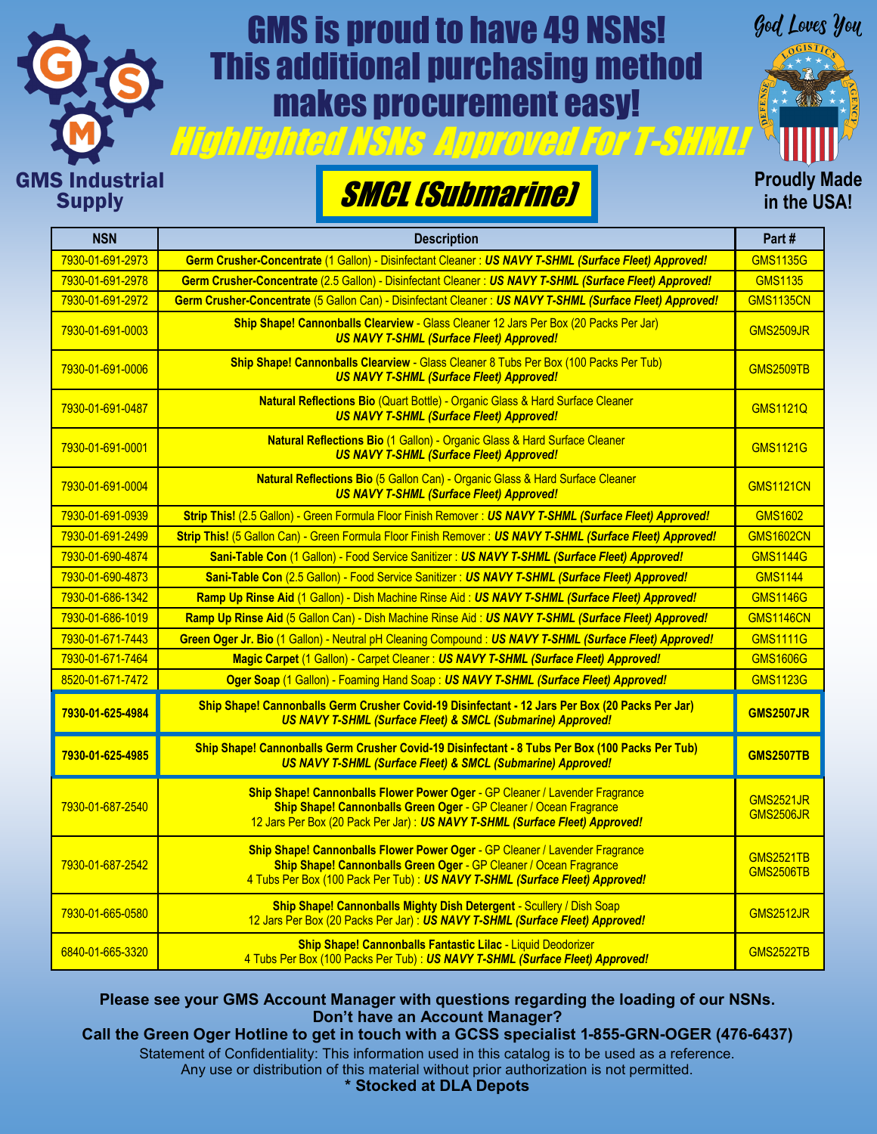

## GMS is proud to have 49 NSNs! This additional purchasing method makes procurement easy!



**Proudly Made in the USA!**

## SMCL (Submarine)

| <b>NSN</b>       | <b>Description</b>                                                                                                                                                                                                               | Part#                                |
|------------------|----------------------------------------------------------------------------------------------------------------------------------------------------------------------------------------------------------------------------------|--------------------------------------|
| 7930-01-691-2973 | Germ Crusher-Concentrate (1 Gallon) - Disinfectant Cleaner: US NAVY T-SHML (Surface Fleet) Approved!                                                                                                                             | <b>GMS1135G</b>                      |
| 7930-01-691-2978 | Germ Crusher-Concentrate (2.5 Gallon) - Disinfectant Cleaner: US NAVY T-SHML (Surface Fleet) Approved!                                                                                                                           | <b>GMS1135</b>                       |
| 7930-01-691-2972 | Germ Crusher-Concentrate (5 Gallon Can) - Disinfectant Cleaner : US NAVY T-SHML (Surface Fleet) Approved!                                                                                                                        | <b>GMS1135CN</b>                     |
| 7930-01-691-0003 | Ship Shape! Cannonballs Clearview - Glass Cleaner 12 Jars Per Box (20 Packs Per Jar)<br><b>US NAVY T-SHML (Surface Fleet) Approved!</b>                                                                                          | <b>GMS2509JR</b>                     |
| 7930-01-691-0006 | Ship Shape! Cannonballs Clearview - Glass Cleaner 8 Tubs Per Box (100 Packs Per Tub)<br><b>US NAVY T-SHML (Surface Fleet) Approved!</b>                                                                                          | <b>GMS2509TB</b>                     |
| 7930-01-691-0487 | Natural Reflections Bio (Quart Bottle) - Organic Glass & Hard Surface Cleaner<br><b>US NAVY T-SHML (Surface Fleet) Approved!</b>                                                                                                 | <b>GMS1121Q</b>                      |
| 7930-01-691-0001 | Natural Reflections Bio (1 Gallon) - Organic Glass & Hard Surface Cleaner<br><b>US NAVY T-SHML (Surface Fleet) Approved!</b>                                                                                                     | <b>GMS1121G</b>                      |
| 7930-01-691-0004 | Natural Reflections Bio (5 Gallon Can) - Organic Glass & Hard Surface Cleaner<br><b>US NAVY T-SHML (Surface Fleet) Approved!</b>                                                                                                 | <b>GMS1121CN</b>                     |
| 7930-01-691-0939 | Strip This! (2.5 Gallon) - Green Formula Floor Finish Remover : US NAVY T-SHML (Surface Fleet) Approved!                                                                                                                         | <b>GMS1602</b>                       |
| 7930-01-691-2499 | Strip This! (5 Gallon Can) - Green Formula Floor Finish Remover: US NAVY T-SHML (Surface Fleet) Approved!                                                                                                                        | <b>GMS1602CN</b>                     |
| 7930-01-690-4874 | Sani-Table Con (1 Gallon) - Food Service Sanitizer : US NAVY T-SHML (Surface Fleet) Approved!                                                                                                                                    | <b>GMS1144G</b>                      |
| 7930-01-690-4873 | Sani-Table Con (2.5 Gallon) - Food Service Sanitizer : US NAVY T-SHML (Surface Fleet) Approved!                                                                                                                                  | <b>GMS1144</b>                       |
| 7930-01-686-1342 | Ramp Up Rinse Aid (1 Gallon) - Dish Machine Rinse Aid: US NAVY T-SHML (Surface Fleet) Approved!                                                                                                                                  | <b>GMS1146G</b>                      |
| 7930-01-686-1019 | Ramp Up Rinse Aid (5 Gallon Can) - Dish Machine Rinse Aid: US NAVY T-SHML (Surface Fleet) Approved!                                                                                                                              | <b>GMS1146CN</b>                     |
| 7930-01-671-7443 | Green Oger Jr. Bio (1 Gallon) - Neutral pH Cleaning Compound: US NAVY T-SHML (Surface Fleet) Approved!                                                                                                                           | <b>GMS1111G</b>                      |
| 7930-01-671-7464 | Magic Carpet (1 Gallon) - Carpet Cleaner : US NAVY T-SHML (Surface Fleet) Approved!                                                                                                                                              | <b>GMS1606G</b>                      |
| 8520-01-671-7472 | Oger Soap (1 Gallon) - Foaming Hand Soap: US NAVY T-SHML (Surface Fleet) Approved!                                                                                                                                               | <b>GMS1123G</b>                      |
| 7930-01-625-4984 | Ship Shape! Cannonballs Germ Crusher Covid-19 Disinfectant - 12 Jars Per Box (20 Packs Per Jar)<br>US NAVY T-SHML (Surface Fleet) & SMCL (Submarine) Approved!                                                                   | <b>GMS2507JR</b>                     |
| 7930-01-625-4985 | Ship Shape! Cannonballs Germ Crusher Covid-19 Disinfectant - 8 Tubs Per Box (100 Packs Per Tub)<br>US NAVY T-SHML (Surface Fleet) & SMCL (Submarine) Approved!                                                                   | <b>GMS2507TB</b>                     |
| 7930-01-687-2540 | Ship Shape! Cannonballs Flower Power Oger - GP Cleaner / Lavender Fragrance<br>Ship Shape! Cannonballs Green Oger - GP Cleaner / Ocean Fragrance<br>12 Jars Per Box (20 Pack Per Jar) : US NAVY T-SHML (Surface Fleet) Approved! | <b>GMS2521JR</b><br><b>GMS2506JR</b> |
| 7930-01-687-2542 | Ship Shape! Cannonballs Flower Power Oger - GP Cleaner / Lavender Fragrance<br>Ship Shape! Cannonballs Green Oger - GP Cleaner / Ocean Fragrance<br>4 Tubs Per Box (100 Pack Per Tub): US NAVY T-SHML (Surface Fleet) Approved!  | <b>GMS2521TB</b><br><b>GMS2506TB</b> |
| 7930-01-665-0580 | Ship Shape! Cannonballs Mighty Dish Detergent - Scullery / Dish Soap<br>12 Jars Per Box (20 Packs Per Jar): US NAVY T-SHML (Surface Fleet) Approved!                                                                             | <b>GMS2512JR</b>                     |
| 6840-01-665-3320 | Ship Shape! Cannonballs Fantastic Lilac - Liquid Deodorizer<br>4 Tubs Per Box (100 Packs Per Tub): US NAVY T-SHML (Surface Fleet) Approved!                                                                                      | <b>GMS2522TB</b>                     |

**Please see your GMS Account Manager with questions regarding the loading of our NSNs. Don't have an Account Manager? Call the Green Oger Hotline to get in touch with a GCSS specialist 1-855-GRN-OGER (476-6437)**

Statement of Confidentiality: This information used in this catalog is to be used as a reference. Any use or distribution of this material without prior authorization is not permitted.

**\* Stocked at DLA Depots**